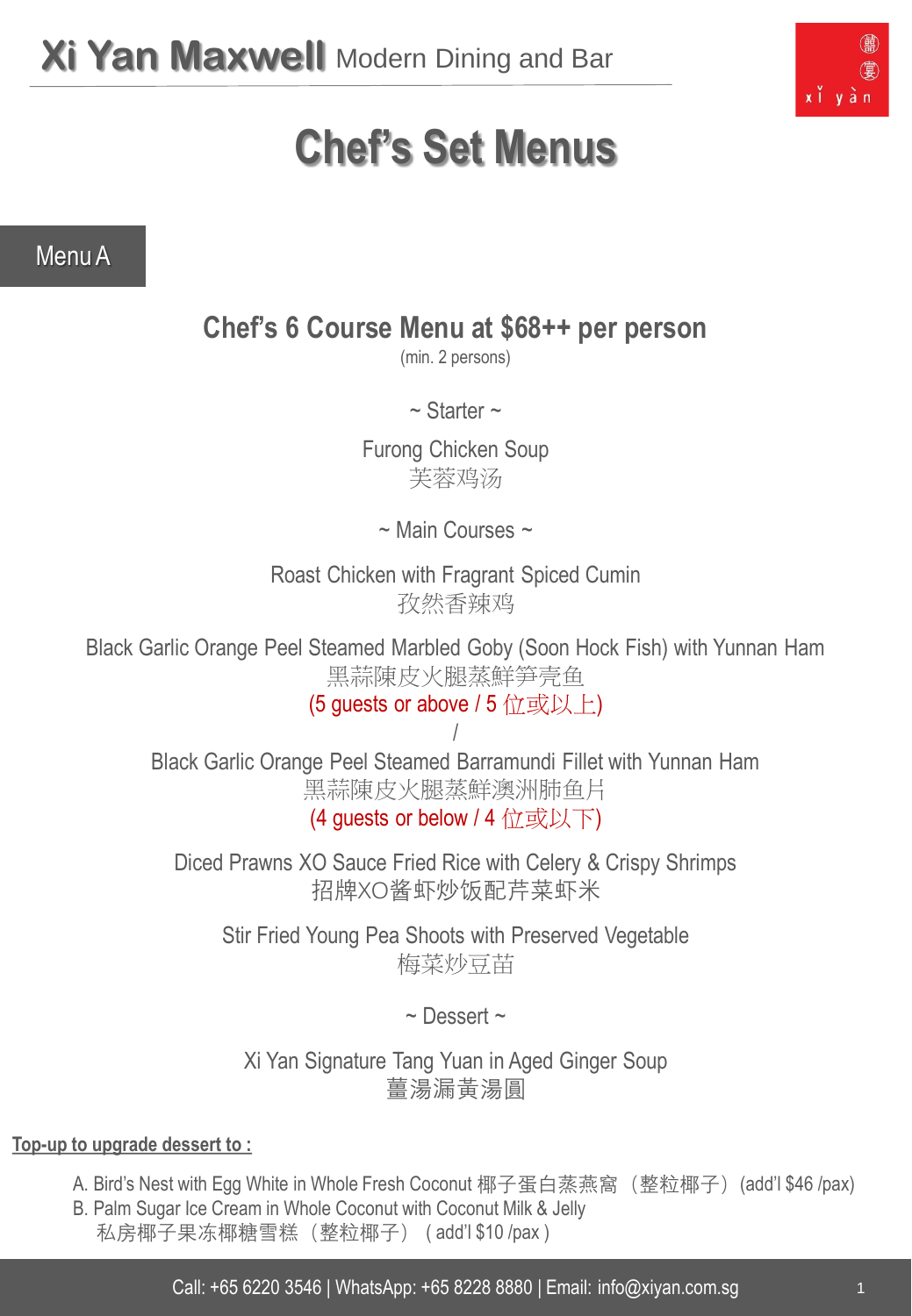

# **Chef's Set Menus**

Menu A

# **Chef's 6 Course Menu at \$68++ per person**

(min. 2 persons)

 $\sim$  Starter  $\sim$ 

Furong Chicken Soup 芙蓉鸡汤

~ Main Courses ~

Roast Chicken with Fragrant Spiced Cumin 孜然香辣鸡

Black Garlic Orange Peel Steamed Marbled Goby (Soon Hock Fish) with Yunnan Ham 黑蒜陳皮火腿蒸鮮笋壳鱼

(5 guests or above / 5 位或以上)

/ Black Garlic Orange Peel Steamed Barramundi Fillet with Yunnan Ham 黑蒜陳皮火腿蒸鮮澳洲肺鱼片 (4 guests or below / 4 位或以下)

Diced Prawns XO Sauce Fried Rice with Celery & Crispy Shrimps 招牌XO酱虾炒饭配芹菜虾米

Stir Fried Young Pea Shoots with Preserved Vegetable 梅菜炒豆苗

 $\sim$  Dessert  $\sim$ 

Xi Yan Signature Tang Yuan in Aged Ginger Soup 薑湯漏黃湯圓

- A. Bird's Nest with Egg White in Whole Fresh Coconut 椰子蛋白蒸燕窩 (整粒椰子) (add'l \$46 /pax)
- B. Palm Sugar Ice Cream in Whole Coconut with Coconut Milk & Jelly 私房椰子果冻椰糖雪糕(整粒椰子) ( add'l \$10 /pax )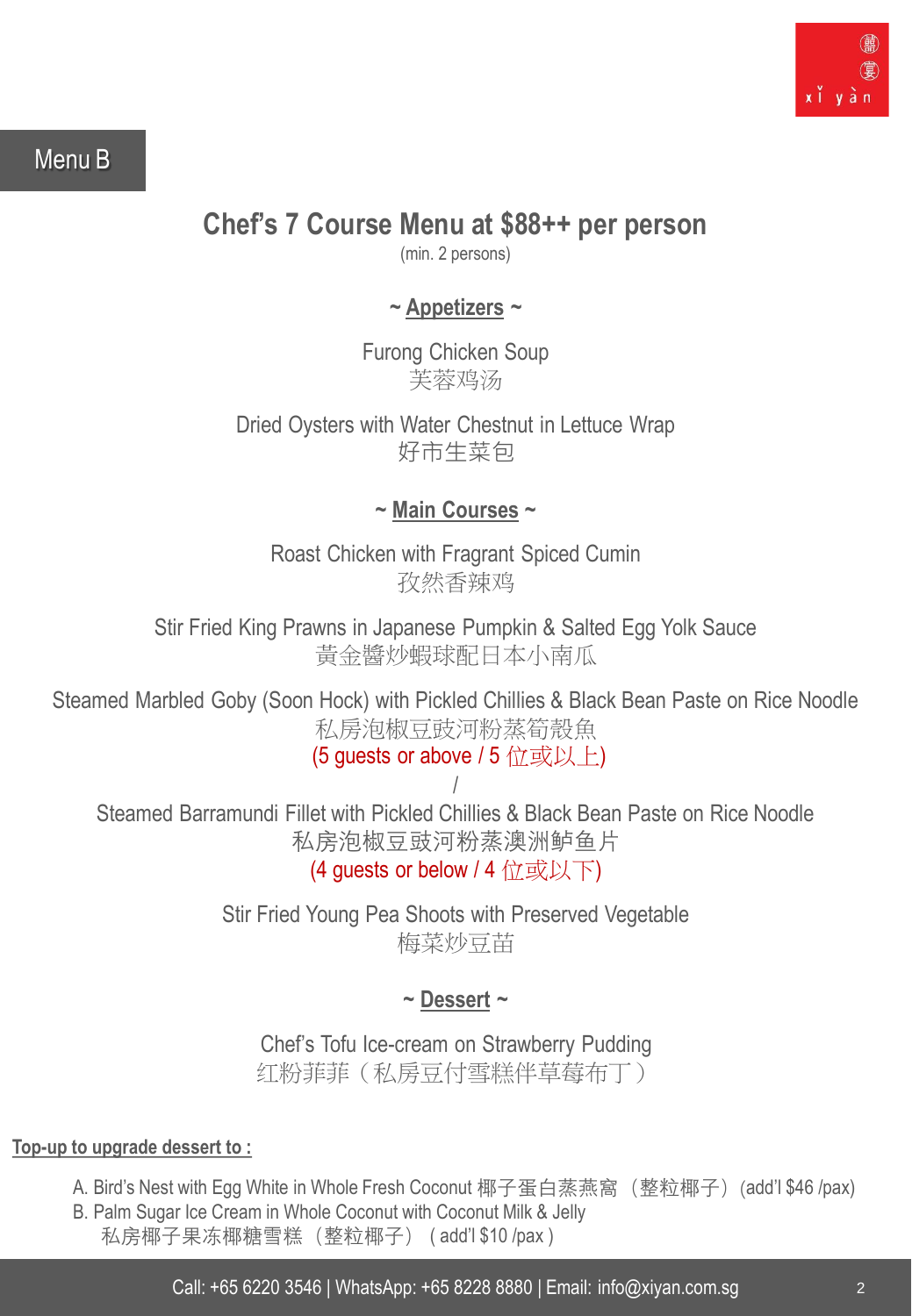

## Menu B

## **Chef's 7 Course Menu at \$88++ per person**

(min. 2 persons)

## **~ Appetizers ~**

Furong Chicken Soup 芙蓉鸡汤

Dried Oysters with Water Chestnut in Lettuce Wrap 好市生菜包

**~ Main Courses ~**

Roast Chicken with Fragrant Spiced Cumin 孜然香辣鸡

Stir Fried King Prawns in Japanese Pumpkin & Salted Egg Yolk Sauce 黃金醬炒蝦球配日本小南瓜

Steamed Marbled Goby (Soon Hock) with Pickled Chillies & Black Bean Paste on Rice Noodle 私房泡椒豆豉河粉蒸筍殼魚

(5 quests or above / 5 位或以上)

/ Steamed Barramundi Fillet with Pickled Chillies & Black Bean Paste on Rice Noodle 私房泡椒豆豉河粉蒸澳洲鲈鱼片

(4 quests or below / 4 位或以下)

Stir Fried Young Pea Shoots with Preserved Vegetable 梅菜炒豆苗

## **~ Dessert ~**

Chef's Tofu Ice-cream on Strawberry Pudding 红粉菲菲(私房豆付雪糕伴草莓布丁)

- A. Bird's Nest with Egg White in Whole Fresh Coconut 椰子蛋白蒸燕窩 (整粒椰子) (add'l \$46 /pax)
- B. Palm Sugar Ice Cream in Whole Coconut with Coconut Milk & Jelly 私房椰子果冻椰糖雪糕 (整粒椰子) (add'l \$10 /pax)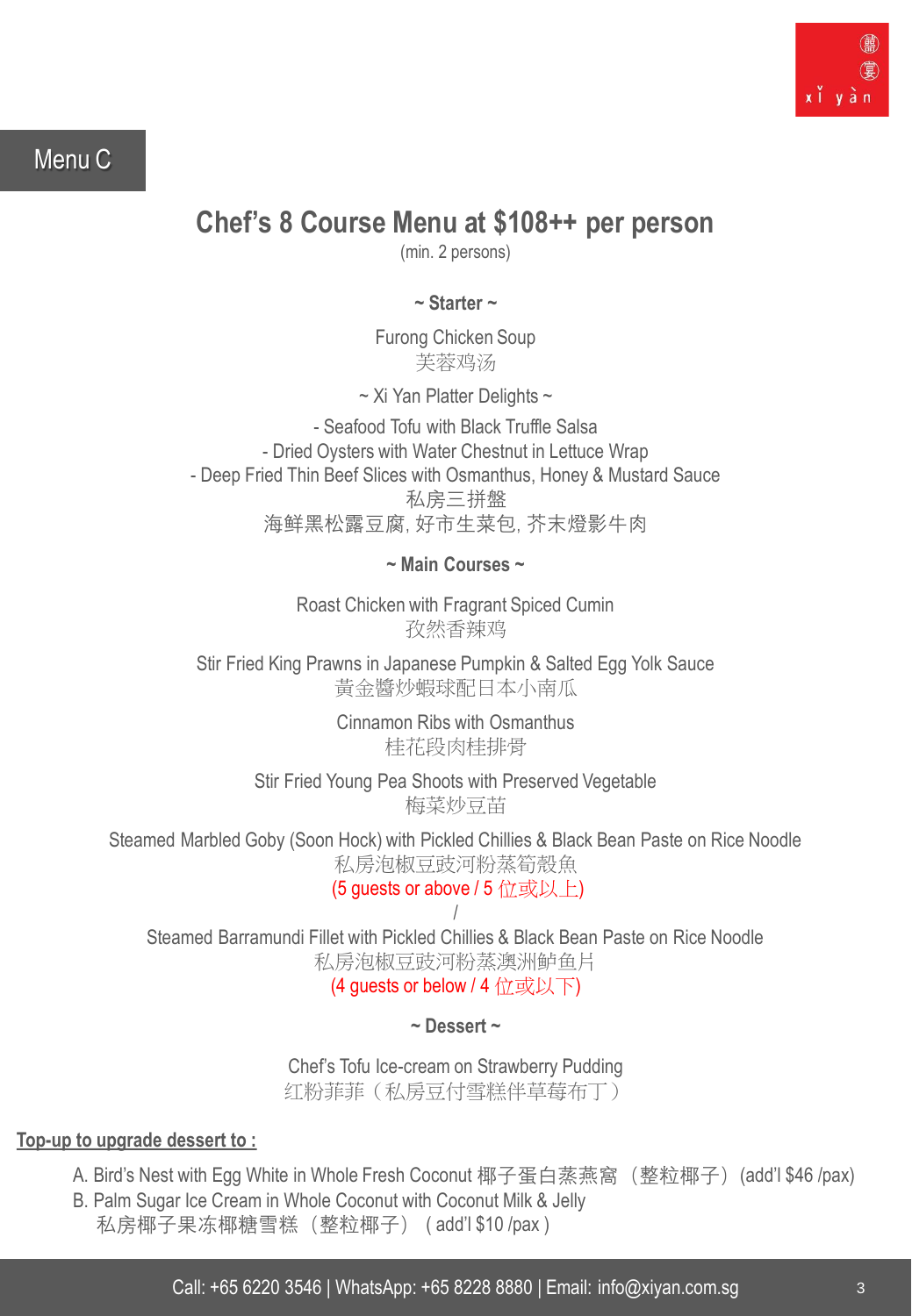

## Menu C

# **Chef's 8 Course Menu at \$108++ per person**

(min. 2 persons)

**~ Starter ~** 

Furong Chicken Soup 芙蓉鸡汤

 $\sim$  Xi Yan Platter Delights  $\sim$ 

- Seafood Tofu with Black Truffle Salsa - Dried Oysters with Water Chestnut in Lettuce Wrap - Deep Fried Thin Beef Slices with Osmanthus, Honey & Mustard Sauce 私房三拼盤 海鲜黑松露豆腐, 好市生菜包, 芥末燈影牛肉

**~ Main Courses ~**

Roast Chicken with Fragrant Spiced Cumin 孜然香辣鸡

Stir Fried King Prawns in Japanese Pumpkin & Salted Egg Yolk Sauce 黃金醬炒蝦球配日本小南瓜

> Cinnamon Ribs with Osmanthus 桂花段肉桂排骨

Stir Fried Young Pea Shoots with Preserved Vegetable 梅菜炒豆苗

Steamed Marbled Goby (Soon Hock) with Pickled Chillies & Black Bean Paste on Rice Noodle 私房泡椒豆豉河粉蒸筍殼魚

(5 quests or above / 5 位或以上)

/ Steamed Barramundi Fillet with Pickled Chillies & Black Bean Paste on Rice Noodle 私房泡椒豆豉河粉蒸澳洲鲈鱼片

(4 guests or below / 4 位或以下)

**~ Dessert ~**

Chef's Tofu Ice-cream on Strawberry Pudding 红粉菲菲(私房豆付雪糕伴草莓布丁)

- A. Bird's Nest with Egg White in Whole Fresh Coconut 椰子蛋白蒸燕窩 (整粒椰子) (add'l \$46 /pax)
- B. Palm Sugar Ice Cream in Whole Coconut with Coconut Milk & Jelly
	- 私房椰子果冻椰糖雪糕(整粒椰子) ( add'l \$10 /pax )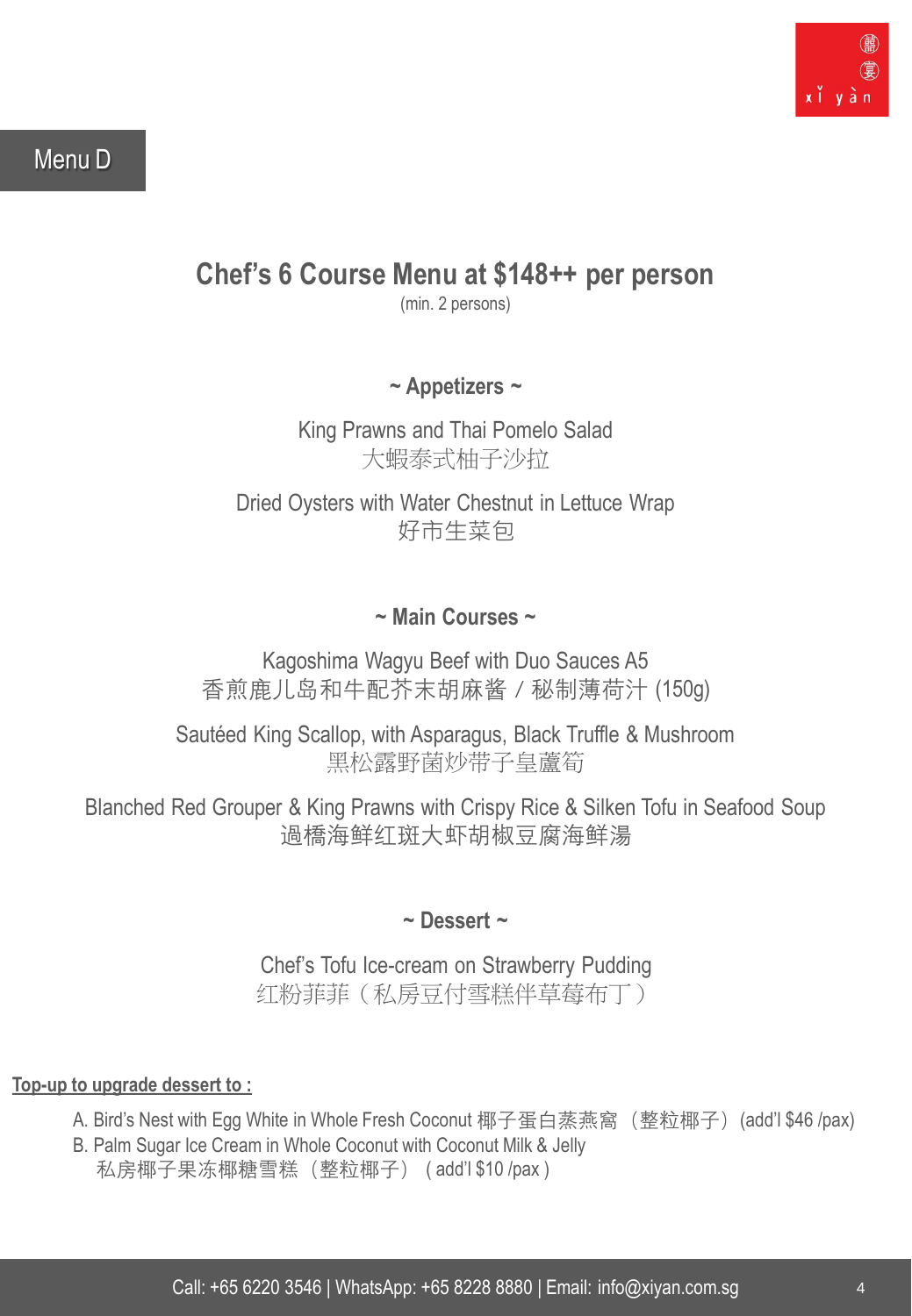

## Menu D

# **Chef's 6 Course Menu at \$148++ per person**

(min. 2 persons)

**~ Appetizers ~**

King Prawns and Thai Pomelo Salad 大蝦泰式柚子沙拉

Dried Oysters with Water Chestnut in Lettuce Wrap 好市生菜包

## **~ Main Courses ~**

Kagoshima Wagyu Beef with Duo Sauces A5 香煎鹿儿岛和牛配芥末胡麻酱 / 秘制薄荷汁 (150g)

Sautéed King Scallop, with Asparagus, Black Truffle & Mushroom 黑松露野菌炒带子皇蘆筍

Blanched Red Grouper & King Prawns with Crispy Rice & Silken Tofu in Seafood Soup 過橋海鲜红斑大虾胡椒豆腐海鲜湯

## **~ Dessert ~**

Chef's Tofu Ice-cream on Strawberry Pudding 红粉菲菲(私房豆付雪糕伴草莓布丁)

- A. Bird's Nest with Egg White in Whole Fresh Coconut 椰子蛋白蒸燕窩 (整粒椰子) (add'l \$46 /pax)
- B. Palm Sugar Ice Cream in Whole Coconut with Coconut Milk & Jelly 私房椰子果冻椰糖雪糕(整粒椰子) ( add'l \$10 /pax )